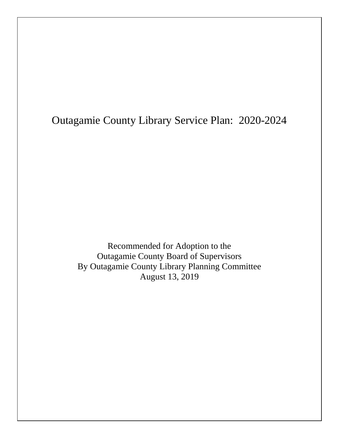# Outagamie County Library Service Plan: 2020-2024

Recommended for Adoption to the Outagamie County Board of Supervisors By Outagamie County Library Planning Committee August 13, 2019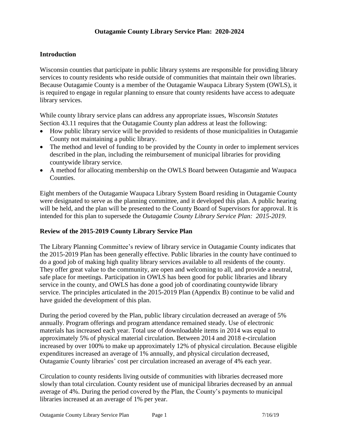#### **Introduction**

Wisconsin counties that participate in public library systems are responsible for providing library services to county residents who reside outside of communities that maintain their own libraries. Because Outagamie County is a member of the Outagamie Waupaca Library System (OWLS), it is required to engage in regular planning to ensure that county residents have access to adequate library services.

While county library service plans can address any appropriate issues, *Wisconsin Statutes* Section 43.11 requires that the Outagamie County plan address at least the following:

- How public library service will be provided to residents of those municipalities in Outagamie County not maintaining a public library.
- The method and level of funding to be provided by the County in order to implement services described in the plan, including the reimbursement of municipal libraries for providing countywide library service.
- A method for allocating membership on the OWLS Board between Outagamie and Waupaca Counties.

Eight members of the Outagamie Waupaca Library System Board residing in Outagamie County were designated to serve as the planning committee, and it developed this plan. A public hearing will be held, and the plan will be presented to the County Board of Supervisors for approval. It is intended for this plan to supersede the *Outagamie County Library Service Plan: 2015-2019*.

#### **Review of the 2015-2019 County Library Service Plan**

The Library Planning Committee's review of library service in Outagamie County indicates that the 2015-2019 Plan has been generally effective. Public libraries in the county have continued to do a good job of making high quality library services available to all residents of the county. They offer great value to the community, are open and welcoming to all, and provide a neutral, safe place for meetings. Participation in OWLS has been good for public libraries and library service in the county, and OWLS has done a good job of coordinating countywide library service. The principles articulated in the 2015-2019 Plan (Appendix B) continue to be valid and have guided the development of this plan.

During the period covered by the Plan, public library circulation decreased an average of 5% annually. Program offerings and program attendance remained steady. Use of electronic materials has increased each year. Total use of downloadable items in 2014 was equal to approximately 5% of physical material circulation. Between 2014 and 2018 e-circulation increased by over 100% to make up approximately 12% of physical circulation. Because eligible expenditures increased an average of 1% annually, and physical circulation decreased, Outagamie County libraries' cost per circulation increased an average of 4% each year.

Circulation to county residents living outside of communities with libraries decreased more slowly than total circulation. County resident use of municipal libraries decreased by an annual average of 4%. During the period covered by the Plan, the County's payments to municipal libraries increased at an average of 1% per year.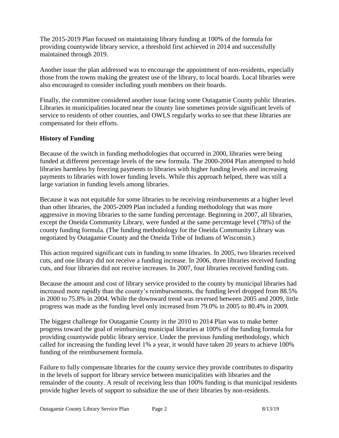The 2015-2019 Plan focused on maintaining library funding at 100% of the formula for providing countywide library service, a threshold first achieved in 2014 and successfully maintained through 2019.

Another issue the plan addressed was to encourage the appointment of non-residents, especially those from the towns making the greatest use of the library, to local boards. Local libraries were also encouraged to consider including youth members on their boards.

Finally, the committee considered another issue facing some Outagamie County public libraries. Libraries in municipalities located near the county line sometimes provide significant levels of service to residents of other counties, and OWLS regularly works to see that these libraries are compensated for their efforts.

# **History of Funding**

Because of the switch in funding methodologies that occurred in 2000, libraries were being funded at different percentage levels of the new formula. The 2000-2004 Plan attempted to hold libraries harmless by freezing payments to libraries with higher funding levels and increasing payments to libraries with lower funding levels. While this approach helped, there was still a large variation in funding levels among libraries.

Because it was not equitable for some libraries to be receiving reimbursements at a higher level than other libraries, the 2005-2009 Plan included a funding methodology that was more aggressive in moving libraries to the same funding percentage. Beginning in 2007, all libraries, except the Oneida Community Library, were funded at the same percentage level (78%) of the county funding formula. (The funding methodology for the Oneida Community Library was negotiated by Outagamie County and the Oneida Tribe of Indians of Wisconsin.)

This action required significant cuts in funding to some libraries. In 2005, two libraries received cuts, and one library did not receive a funding increase. In 2006, three libraries received funding cuts, and four libraries did not receive increases. In 2007, four libraries received funding cuts.

Because the amount and cost of library service provided to the county by municipal libraries had increased more rapidly than the county's reimbursements, the funding level dropped from 88.5% in 2000 to 75.8% in 2004. While the downward trend was reversed between 2005 and 2009, little progress was made as the funding level only increased from 79.0% in 2005 to 80.4% in 2009.

The biggest challenge for Outagamie County in the 2010 to 2014 Plan was to make better progress toward the goal of reimbursing municipal libraries at 100% of the funding formula for providing countywide public library service. Under the previous funding methodology, which called for increasing the funding level 1% a year, it would have taken 20 years to achieve 100% funding of the reimbursement formula.

Failure to fully compensate libraries for the county service they provide contributes to disparity in the levels of support for library service between municipalities with libraries and the remainder of the county. A result of receiving less than 100% funding is that municipal residents provide higher levels of support to subsidize the use of their libraries by non-residents.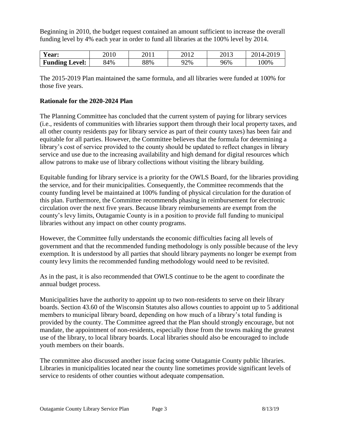Beginning in 2010, the budget request contained an amount sufficient to increase the overall funding level by 4% each year in order to fund all libraries at the 100% level by 2014.

| Year:                 | 2010 | 2011 | 2012   | 2013 | 2019<br>2014-2 |
|-----------------------|------|------|--------|------|----------------|
| <b>Funding Level:</b> | 84%  | 88%  | $22\%$ | 96%  | $00\%$         |

The 2015-2019 Plan maintained the same formula, and all libraries were funded at 100% for those five years.

#### **Rationale for the 2020-2024 Plan**

The Planning Committee has concluded that the current system of paying for library services (i.e., residents of communities with libraries support them through their local property taxes, and all other county residents pay for library service as part of their county taxes) has been fair and equitable for all parties. However, the Committee believes that the formula for determining a library's cost of service provided to the county should be updated to reflect changes in library service and use due to the increasing availability and high demand for digital resources which allow patrons to make use of library collections without visiting the library building.

Equitable funding for library service is a priority for the OWLS Board, for the libraries providing the service, and for their municipalities. Consequently, the Committee recommends that the county funding level be maintained at 100% funding of physical circulation for the duration of this plan. Furthermore, the Committee recommends phasing in reimbursement for electronic circulation over the next five years. Because library reimbursements are exempt from the county's levy limits, Outagamie County is in a position to provide full funding to municipal libraries without any impact on other county programs.

However, the Committee fully understands the economic difficulties facing all levels of government and that the recommended funding methodology is only possible because of the levy exemption. It is understood by all parties that should library payments no longer be exempt from county levy limits the recommended funding methodology would need to be revisited.

As in the past, it is also recommended that OWLS continue to be the agent to coordinate the annual budget process.

Municipalities have the authority to appoint up to two non-residents to serve on their library boards. Section 43.60 of the Wisconsin Statutes also allows counties to appoint up to 5 additional members to municipal library board, depending on how much of a library's total funding is provided by the county. The Committee agreed that the Plan should strongly encourage, but not mandate, the appointment of non-residents, especially those from the towns making the greatest use of the library, to local library boards. Local libraries should also be encouraged to include youth members on their boards.

The committee also discussed another issue facing some Outagamie County public libraries. Libraries in municipalities located near the county line sometimes provide significant levels of service to residents of other counties without adequate compensation.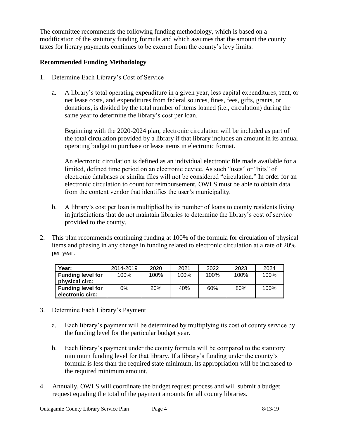The committee recommends the following funding methodology, which is based on a modification of the statutory funding formula and which assumes that the amount the county taxes for library payments continues to be exempt from the county's levy limits.

# **Recommended Funding Methodology**

- 1. Determine Each Library's Cost of Service
	- a. A library's total operating expenditure in a given year, less capital expenditures, rent, or net lease costs, and expenditures from federal sources, fines, fees, gifts, grants, or donations, is divided by the total number of items loaned (i.e., circulation) during the same year to determine the library's cost per loan.

Beginning with the 2020-2024 plan, electronic circulation will be included as part of the total circulation provided by a library if that library includes an amount in its annual operating budget to purchase or lease items in electronic format.

An electronic circulation is defined as an individual electronic file made available for a limited, defined time period on an electronic device. As such "uses" or "hits" of electronic databases or similar files will not be considered "circulation." In order for an electronic circulation to count for reimbursement, OWLS must be able to obtain data from the content vendor that identifies the user's municipality.

- b. A library's cost per loan is multiplied by its number of loans to county residents living in jurisdictions that do not maintain libraries to determine the library's cost of service provided to the county.
- 2. This plan recommends continuing funding at 100% of the formula for circulation of physical items and phasing in any change in funding related to electronic circulation at a rate of 20% per year.

| Year:                                        | 2014-2019 | 2020       | 2021 | 2022 | 2023 | 2024 |
|----------------------------------------------|-----------|------------|------|------|------|------|
| <b>Funding level for</b><br>physical circ:   | 100%      | 100%       | 100% | 100% | 100% | 100% |
| <b>Funding level for</b><br>electronic circ: | 0%        | <b>20%</b> | 40%  | 60%  | 80%  | 100% |

- 3. Determine Each Library's Payment
	- a. Each library's payment will be determined by multiplying its cost of county service by the funding level for the particular budget year.
	- b. Each library's payment under the county formula will be compared to the statutory minimum funding level for that library. If a library's funding under the county's formula is less than the required state minimum, its appropriation will be increased to the required minimum amount.
- 4. Annually, OWLS will coordinate the budget request process and will submit a budget request equaling the total of the payment amounts for all county libraries.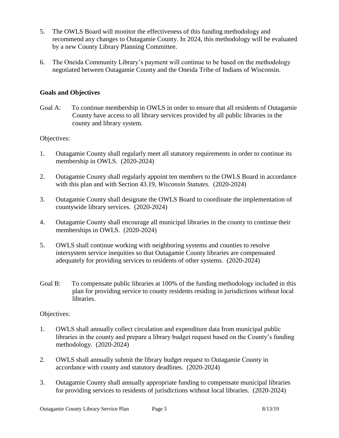- 5. The OWLS Board will monitor the effectiveness of this funding methodology and recommend any changes to Outagamie County. In 2024, this methodology will be evaluated by a new County Library Planning Committee.
- 6. The Oneida Community Library's payment will continue to be based on the methodology negotiated between Outagamie County and the Oneida Tribe of Indians of Wisconsin.

## **Goals and Objectives**

Goal A: To continue membership in OWLS in order to ensure that all residents of Outagamie County have access to all library services provided by all public libraries in the county and library system.

## Objectives:

- 1. Outagamie County shall regularly meet all statutory requirements in order to continue its membership in OWLS. (2020-2024)
- 2. Outagamie County shall regularly appoint ten members to the OWLS Board in accordance with this plan and with Section 43.19, *Wisconsin Statutes.* (2020-2024)
- 3. Outagamie County shall designate the OWLS Board to coordinate the implementation of countywide library services. (2020-2024)
- 4. Outagamie County shall encourage all municipal libraries in the county to continue their memberships in OWLS. (2020-2024)
- 5. OWLS shall continue working with neighboring systems and counties to resolve intersystem service inequities so that Outagamie County libraries are compensated adequately for providing services to residents of other systems. (2020-2024)
- Goal B: To compensate public libraries at 100% of the funding methodology included in this plan for providing service to county residents residing in jurisdictions without local libraries.

## Objectives:

- 1. OWLS shall annually collect circulation and expenditure data from municipal public libraries in the county and prepare a library budget request based on the County's funding methodology. (2020-2024)
- 2. OWLS shall annually submit the library budget request to Outagamie County in accordance with county and statutory deadlines. (2020-2024)
- 3. Outagamie County shall annually appropriate funding to compensate municipal libraries for providing services to residents of jurisdictions without local libraries. (2020-2024)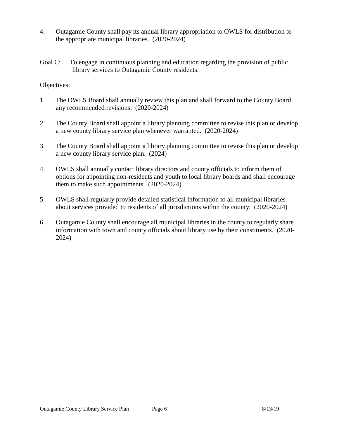- 4. Outagamie County shall pay its annual library appropriation to OWLS for distribution to the appropriate municipal libraries. (2020-2024)
- Goal C: To engage in continuous planning and education regarding the provision of public library services to Outagamie County residents.

Objectives:

- 1. The OWLS Board shall annually review this plan and shall forward to the County Board any recommended revisions. (2020-2024)
- 2. The County Board shall appoint a library planning committee to revise this plan or develop a new county library service plan whenever warranted. (2020-2024)
- 3. The County Board shall appoint a library planning committee to revise this plan or develop a new county library service plan. (2024)
- 4. OWLS shall annually contact library directors and county officials to inform them of options for appointing non-residents and youth to local library boards and shall encourage them to make such appointments. (2020-2024)
- 5. OWLS shall regularly provide detailed statistical information to all municipal libraries about services provided to residents of all jurisdictions within the county. (2020-2024)
- 6. Outagamie County shall encourage all municipal libraries in the county to regularly share information with town and county officials about library use by their constituents. (2020- 2024)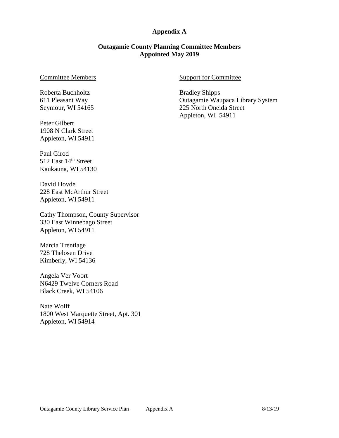#### **Appendix A**

#### **Outagamie County Planning Committee Members Appointed May 2019**

#### Committee Members

Roberta Buchholtz 611 Pleasant Way Seymour, WI 54165

Peter Gilbert 1908 N Clark Street Appleton, WI 54911

Paul Girod 512 East 14<sup>th</sup> Street Kaukauna, WI 54130

David Hovde 228 East McArthur Street Appleton, WI 54911

Cathy Thompson, County Supervisor 330 East Winnebago Street Appleton, WI 54911

Marcia Trentlage 728 Thelosen Drive Kimberly, WI 54136

Angela Ver Voort N6429 Twelve Corners Road Black Creek, WI 54106

Nate Wolff 1800 West Marquette Street, Apt. 301 Appleton, WI 54914

#### Support for Committee

Bradley Shipps Outagamie Waupaca Library System 225 North Oneida Street Appleton, WI 54911